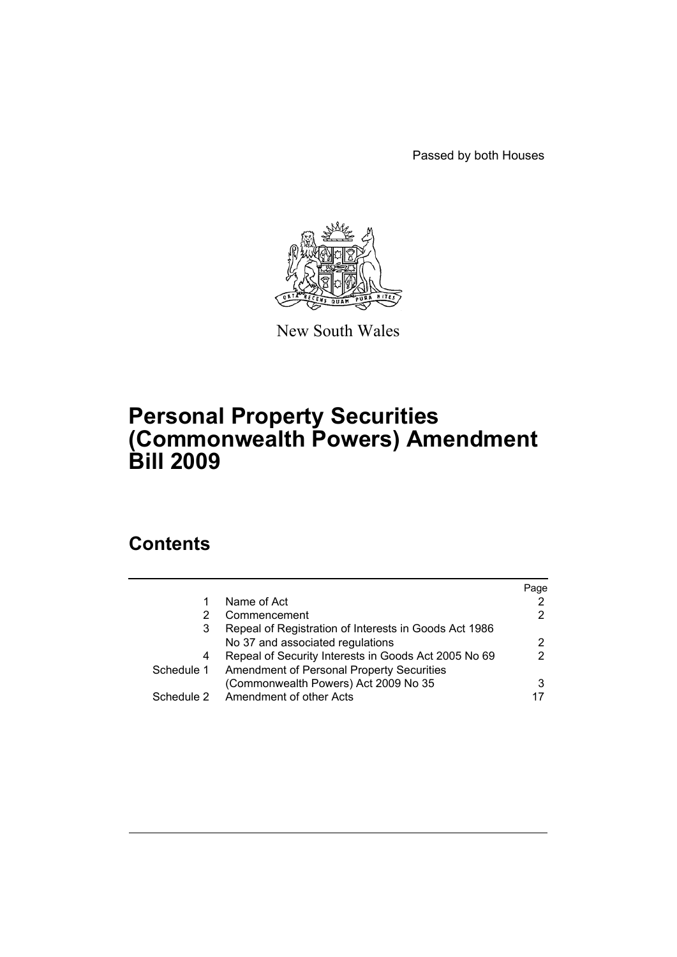Passed by both Houses



New South Wales

# **Personal Property Securities (Commonwealth Powers) Amendment Bill 2009**

# **Contents**

|            |                                                       | Page |
|------------|-------------------------------------------------------|------|
|            | Name of Act                                           | 2    |
| 2          | Commencement                                          | 2    |
| 3          | Repeal of Registration of Interests in Goods Act 1986 |      |
|            | No 37 and associated regulations                      | 2    |
| 4          | Repeal of Security Interests in Goods Act 2005 No 69  | 2    |
| Schedule 1 | Amendment of Personal Property Securities             |      |
|            | (Commonwealth Powers) Act 2009 No 35                  | 3    |
| Schedule 2 | Amendment of other Acts                               |      |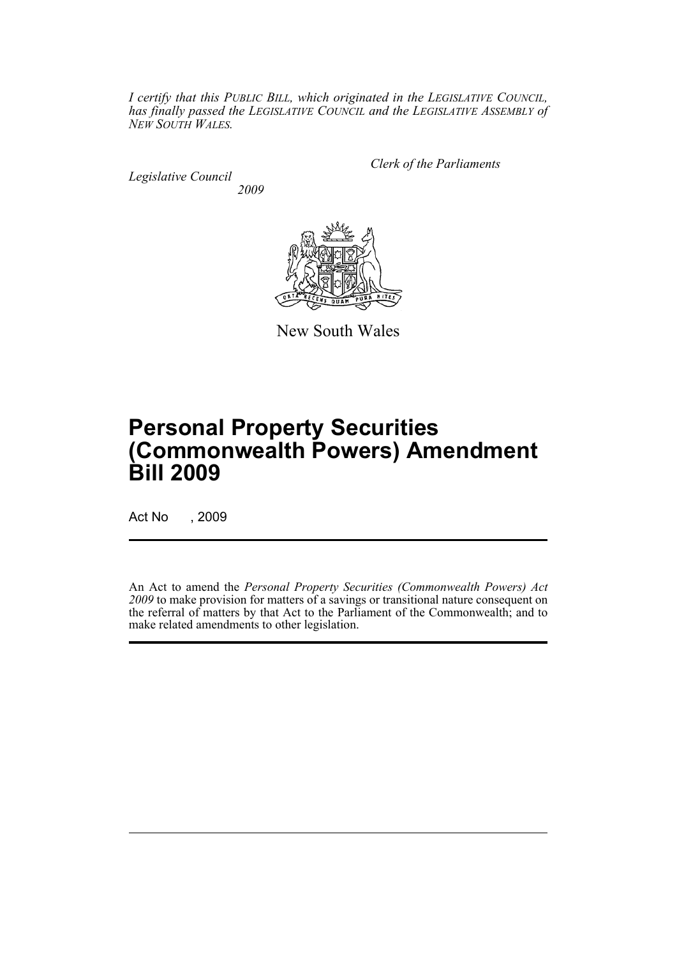*I certify that this PUBLIC BILL, which originated in the LEGISLATIVE COUNCIL, has finally passed the LEGISLATIVE COUNCIL and the LEGISLATIVE ASSEMBLY of NEW SOUTH WALES.*

*Legislative Council 2009* *Clerk of the Parliaments*



New South Wales

# **Personal Property Securities (Commonwealth Powers) Amendment Bill 2009**

Act No , 2009

An Act to amend the *Personal Property Securities (Commonwealth Powers) Act 2009* to make provision for matters of a savings or transitional nature consequent on the referral of matters by that Act to the Parliament of the Commonwealth; and to make related amendments to other legislation.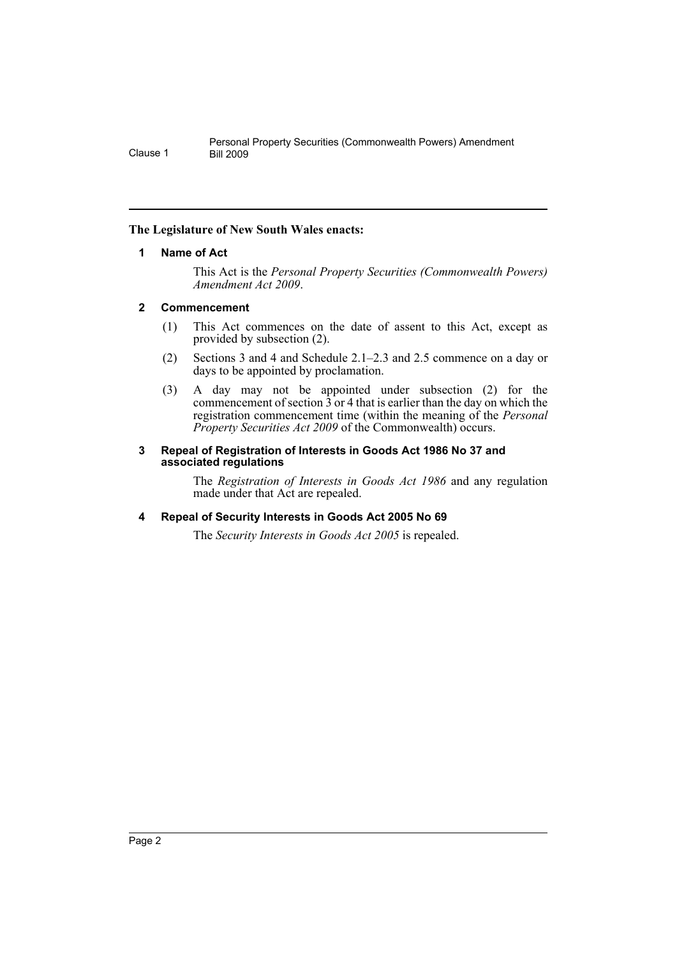# <span id="page-3-0"></span>**The Legislature of New South Wales enacts:**

## **1 Name of Act**

This Act is the *Personal Property Securities (Commonwealth Powers) Amendment Act 2009*.

# <span id="page-3-1"></span>**2 Commencement**

- (1) This Act commences on the date of assent to this Act, except as provided by subsection (2).
- (2) Sections 3 and 4 and Schedule 2.1–2.3 and 2.5 commence on a day or days to be appointed by proclamation.
- (3) A day may not be appointed under subsection (2) for the commencement of section  $\overline{3}$  or 4 that is earlier than the day on which the registration commencement time (within the meaning of the *Personal Property Securities Act 2009* of the Commonwealth) occurs.

#### <span id="page-3-2"></span>**3 Repeal of Registration of Interests in Goods Act 1986 No 37 and associated regulations**

The *Registration of Interests in Goods Act 1986* and any regulation made under that Act are repealed.

# <span id="page-3-3"></span>**4 Repeal of Security Interests in Goods Act 2005 No 69**

The *Security Interests in Goods Act 2005* is repealed.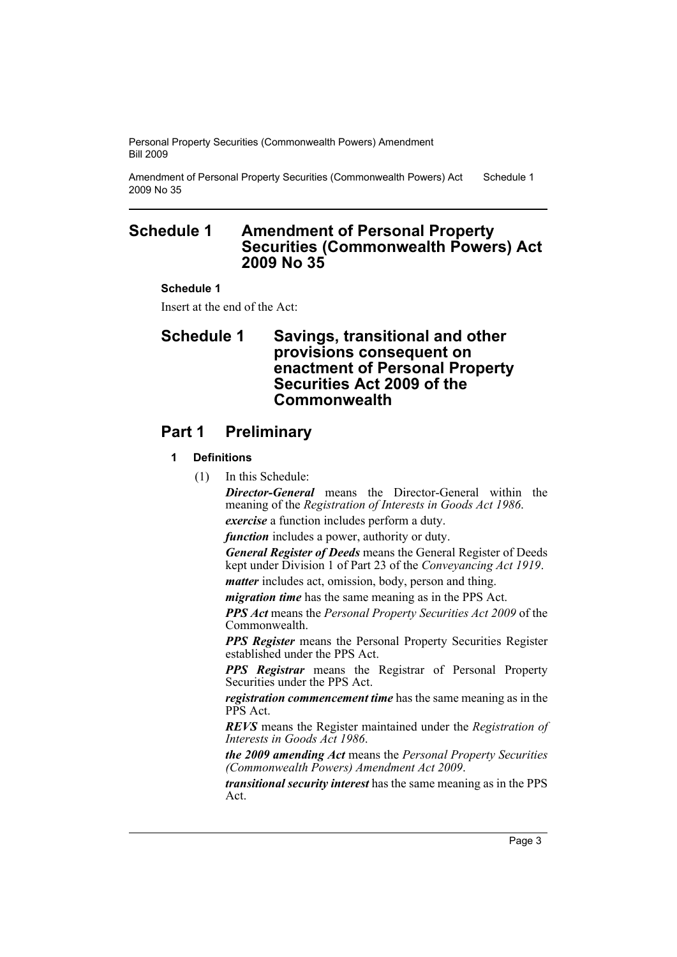Amendment of Personal Property Securities (Commonwealth Powers) Act 2009 No 35 Schedule 1

# <span id="page-4-0"></span>**Schedule 1 Amendment of Personal Property Securities (Commonwealth Powers) Act 2009 No 35**

## **Schedule 1**

Insert at the end of the Act:

# **Schedule 1 Savings, transitional and other provisions consequent on enactment of Personal Property Securities Act 2009 of the Commonwealth**

# **Part 1 Preliminary**

# **1 Definitions**

(1) In this Schedule:

*Director-General* means the Director-General within the meaning of the *Registration of Interests in Goods Act 1986*.

*exercise* a function includes perform a duty.

*function* includes a power, authority or duty.

*General Register of Deeds* means the General Register of Deeds kept under Division 1 of Part 23 of the *Conveyancing Act 1919*.

*matter* includes act, omission, body, person and thing. *migration time* has the same meaning as in the PPS Act.

*PPS Act* means the *Personal Property Securities Act 2009* of the Commonwealth.

*PPS Register* means the Personal Property Securities Register established under the PPS Act.

*PPS Registrar* means the Registrar of Personal Property Securities under the PPS Act.

*registration commencement time* has the same meaning as in the PPS Act.

*REVS* means the Register maintained under the *Registration of Interests in Goods Act 1986*.

*the 2009 amending Act* means the *Personal Property Securities (Commonwealth Powers) Amendment Act 2009*.

*transitional security interest* has the same meaning as in the PPS Act.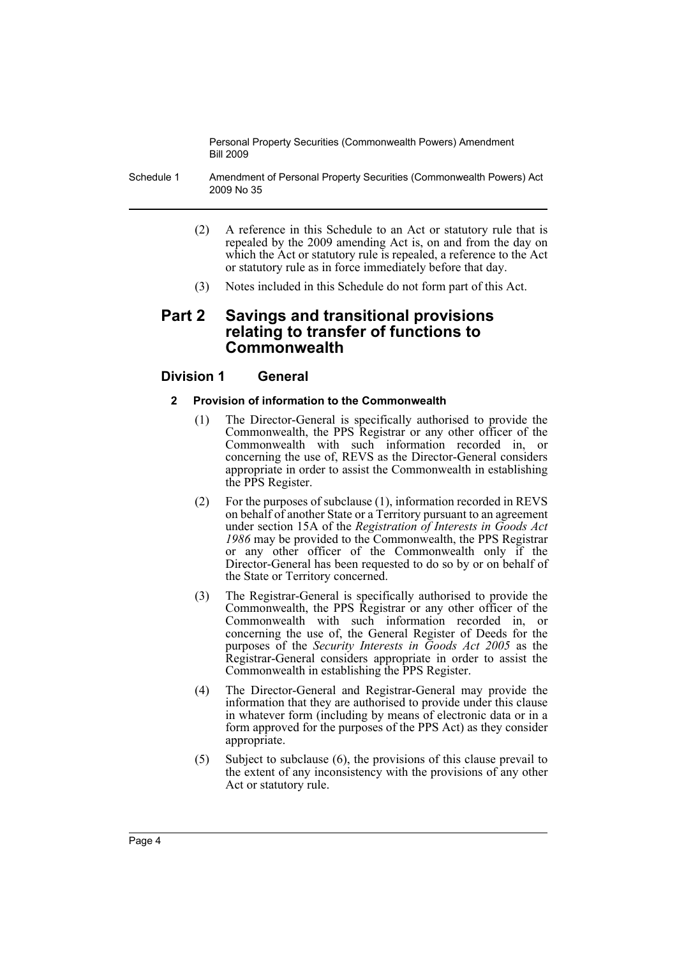Schedule 1 Amendment of Personal Property Securities (Commonwealth Powers) Act 2009 No 35

- (2) A reference in this Schedule to an Act or statutory rule that is repealed by the 2009 amending Act is, on and from the day on which the Act or statutory rule is repealed, a reference to the Act or statutory rule as in force immediately before that day.
- (3) Notes included in this Schedule do not form part of this Act.

# **Part 2 Savings and transitional provisions relating to transfer of functions to Commonwealth**

# **Division 1 General**

#### **2 Provision of information to the Commonwealth**

- (1) The Director-General is specifically authorised to provide the Commonwealth, the PPS Registrar or any other officer of the Commonwealth with such information recorded in, or concerning the use of, REVS as the Director-General considers appropriate in order to assist the Commonwealth in establishing the PPS Register.
- (2) For the purposes of subclause (1), information recorded in REVS on behalf of another State or a Territory pursuant to an agreement under section 15A of the *Registration of Interests in Goods Act 1986* may be provided to the Commonwealth, the PPS Registrar or any other officer of the Commonwealth only if the Director-General has been requested to do so by or on behalf of the State or Territory concerned.
- (3) The Registrar-General is specifically authorised to provide the Commonwealth, the PPS Registrar or any other officer of the Commonwealth with such information recorded in, or concerning the use of, the General Register of Deeds for the purposes of the *Security Interests in Goods Act 2005* as the Registrar-General considers appropriate in order to assist the Commonwealth in establishing the PPS Register.
- (4) The Director-General and Registrar-General may provide the information that they are authorised to provide under this clause in whatever form (including by means of electronic data or in a form approved for the purposes of the PPS Act) as they consider appropriate.
- (5) Subject to subclause (6), the provisions of this clause prevail to the extent of any inconsistency with the provisions of any other Act or statutory rule.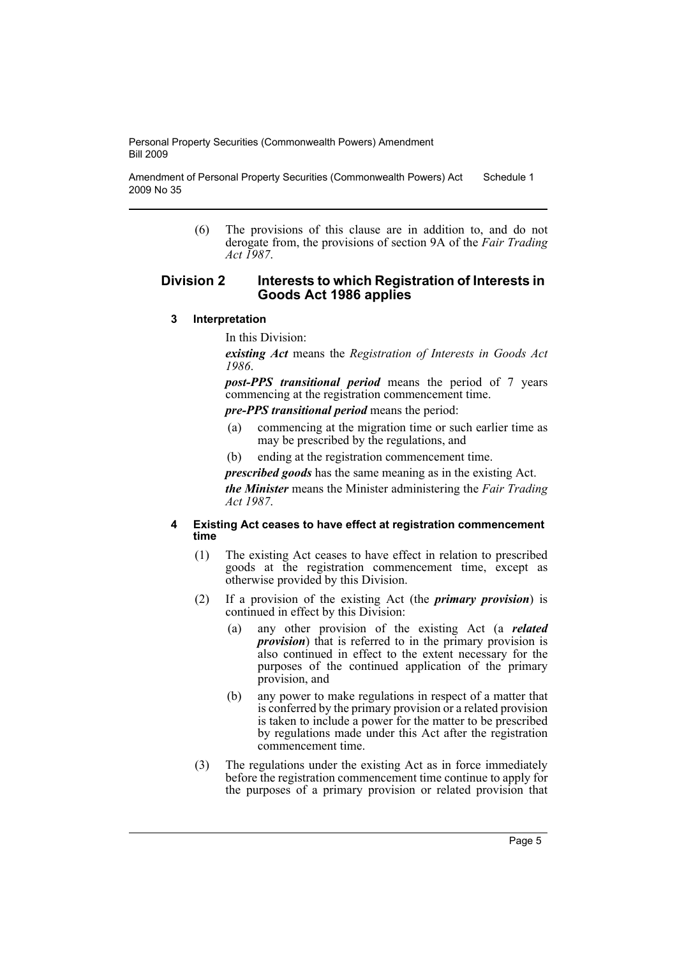Amendment of Personal Property Securities (Commonwealth Powers) Act 2009 No 35 Schedule 1

> (6) The provisions of this clause are in addition to, and do not derogate from, the provisions of section 9A of the *Fair Trading Act 1987*.

#### **Division 2 Interests to which Registration of Interests in Goods Act 1986 applies**

**3 Interpretation**

In this Division:

*existing Act* means the *Registration of Interests in Goods Act 1986*.

*post-PPS transitional period* means the period of 7 years commencing at the registration commencement time.

*pre-PPS transitional period* means the period:

- (a) commencing at the migration time or such earlier time as may be prescribed by the regulations, and
- (b) ending at the registration commencement time.

*prescribed goods* has the same meaning as in the existing Act.

*the Minister* means the Minister administering the *Fair Trading Act 1987*.

#### **4 Existing Act ceases to have effect at registration commencement time**

- (1) The existing Act ceases to have effect in relation to prescribed goods at the registration commencement time, except as otherwise provided by this Division.
- (2) If a provision of the existing Act (the *primary provision*) is continued in effect by this Division:
	- (a) any other provision of the existing Act (a *related provision*) that is referred to in the primary provision is also continued in effect to the extent necessary for the purposes of the continued application of the primary provision, and
	- (b) any power to make regulations in respect of a matter that is conferred by the primary provision or a related provision is taken to include a power for the matter to be prescribed by regulations made under this Act after the registration commencement time.
- (3) The regulations under the existing Act as in force immediately before the registration commencement time continue to apply for the purposes of a primary provision or related provision that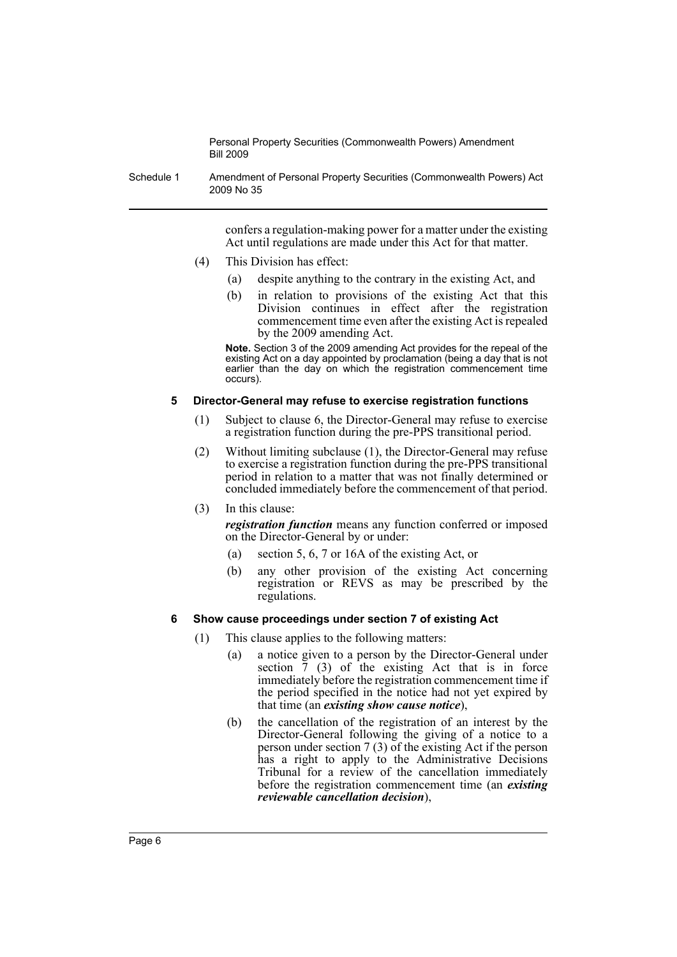Schedule 1 Amendment of Personal Property Securities (Commonwealth Powers) Act 2009 No 35

> confers a regulation-making power for a matter under the existing Act until regulations are made under this Act for that matter.

- (4) This Division has effect:
	- (a) despite anything to the contrary in the existing Act, and
	- (b) in relation to provisions of the existing Act that this Division continues in effect after the registration commencement time even after the existing Act is repealed by the 2009 amending Act.

**Note.** Section 3 of the 2009 amending Act provides for the repeal of the existing Act on a day appointed by proclamation (being a day that is not earlier than the day on which the registration commencement time occurs).

#### **5 Director-General may refuse to exercise registration functions**

- (1) Subject to clause 6, the Director-General may refuse to exercise a registration function during the pre-PPS transitional period.
- (2) Without limiting subclause (1), the Director-General may refuse to exercise a registration function during the pre-PPS transitional period in relation to a matter that was not finally determined or concluded immediately before the commencement of that period.
- (3) In this clause:

*registration function* means any function conferred or imposed on the Director-General by or under:

- (a) section 5, 6, 7 or 16A of the existing Act, or
- (b) any other provision of the existing Act concerning registration or REVS as may be prescribed by the regulations.

#### **6 Show cause proceedings under section 7 of existing Act**

- (1) This clause applies to the following matters:
	- (a) a notice given to a person by the Director-General under section  $\frac{7}{7}$  (3) of the existing Act that is in force immediately before the registration commencement time if the period specified in the notice had not yet expired by that time (an *existing show cause notice*),
	- (b) the cancellation of the registration of an interest by the Director-General following the giving of a notice to a person under section 7 (3) of the existing Act if the person has a right to apply to the Administrative Decisions Tribunal for a review of the cancellation immediately before the registration commencement time (an *existing reviewable cancellation decision*),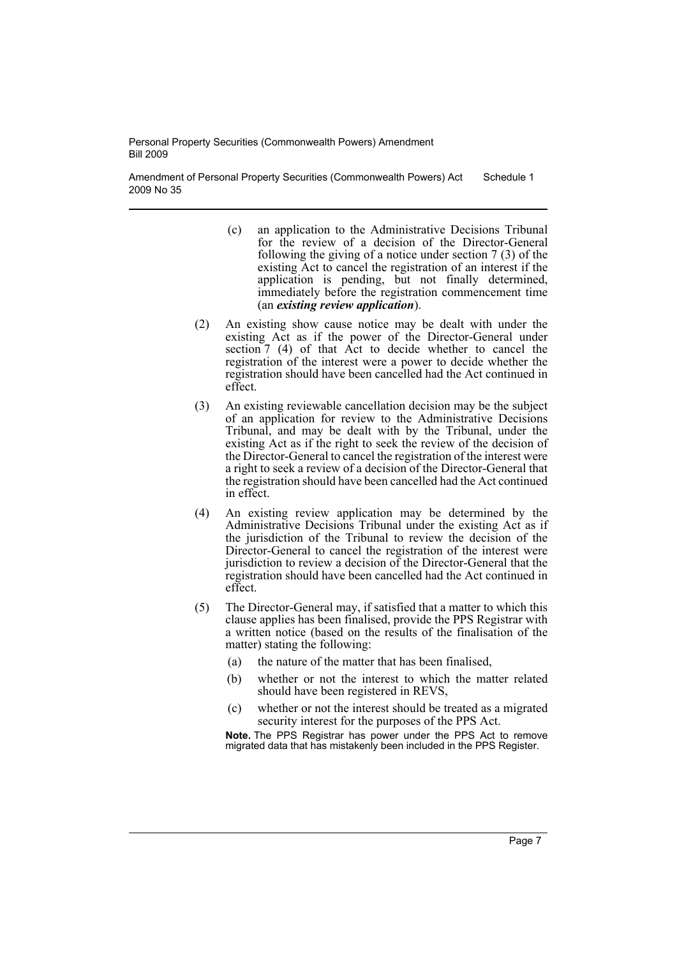Amendment of Personal Property Securities (Commonwealth Powers) Act 2009 No 35 Schedule 1

- (c) an application to the Administrative Decisions Tribunal for the review of a decision of the Director-General following the giving of a notice under section 7 (3) of the existing Act to cancel the registration of an interest if the application is pending, but not finally determined, immediately before the registration commencement time (an *existing review application*).
- (2) An existing show cause notice may be dealt with under the existing Act as if the power of the Director-General under section  $7$  (4) of that Act to decide whether to cancel the registration of the interest were a power to decide whether the registration should have been cancelled had the Act continued in effect.
- (3) An existing reviewable cancellation decision may be the subject of an application for review to the Administrative Decisions Tribunal, and may be dealt with by the Tribunal, under the existing Act as if the right to seek the review of the decision of the Director-General to cancel the registration of the interest were a right to seek a review of a decision of the Director-General that the registration should have been cancelled had the Act continued in effect.
- (4) An existing review application may be determined by the Administrative Decisions Tribunal under the existing Act as if the jurisdiction of the Tribunal to review the decision of the Director-General to cancel the registration of the interest were jurisdiction to review a decision of the Director-General that the registration should have been cancelled had the Act continued in effect.
- (5) The Director-General may, if satisfied that a matter to which this clause applies has been finalised, provide the PPS Registrar with a written notice (based on the results of the finalisation of the matter) stating the following:
	- (a) the nature of the matter that has been finalised,
	- (b) whether or not the interest to which the matter related should have been registered in REVS,
	- (c) whether or not the interest should be treated as a migrated security interest for the purposes of the PPS Act.

**Note.** The PPS Registrar has power under the PPS Act to remove migrated data that has mistakenly been included in the PPS Register.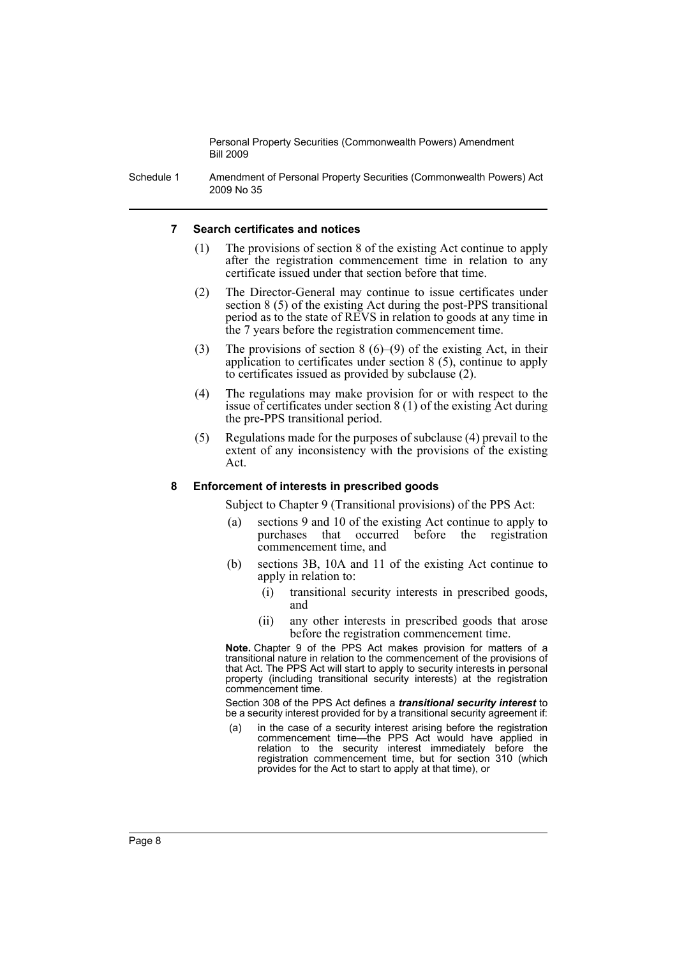Schedule 1 Amendment of Personal Property Securities (Commonwealth Powers) Act 2009 No 35

#### **7 Search certificates and notices**

- (1) The provisions of section 8 of the existing Act continue to apply after the registration commencement time in relation to any certificate issued under that section before that time.
- (2) The Director-General may continue to issue certificates under section 8 (5) of the existing Act during the post-PPS transitional period as to the state of REVS in relation to goods at any time in the 7 years before the registration commencement time.
- (3) The provisions of section  $8(6)$ –(9) of the existing Act, in their application to certificates under section 8 (5), continue to apply to certificates issued as provided by subclause (2).
- (4) The regulations may make provision for or with respect to the issue of certificates under section 8 (1) of the existing Act during the pre-PPS transitional period.
- (5) Regulations made for the purposes of subclause (4) prevail to the extent of any inconsistency with the provisions of the existing Act.

#### **8 Enforcement of interests in prescribed goods**

Subject to Chapter 9 (Transitional provisions) of the PPS Act:

- (a) sections 9 and 10 of the existing Act continue to apply to purchases that occurred before the registration commencement time, and
- (b) sections 3B, 10A and 11 of the existing Act continue to apply in relation to:
	- (i) transitional security interests in prescribed goods, and
	- (ii) any other interests in prescribed goods that arose before the registration commencement time.

**Note.** Chapter 9 of the PPS Act makes provision for matters of a transitional nature in relation to the commencement of the provisions of that Act. The PPS Act will start to apply to security interests in personal property (including transitional security interests) at the registration commencement time.

Section 308 of the PPS Act defines a *transitional security interest* to be a security interest provided for by a transitional security agreement if:

(a) in the case of a security interest arising before the registration commencement time—the PPS Act would have applied in relation to the security interest immediately before the registration commencement time, but for section 310 (which provides for the Act to start to apply at that time), or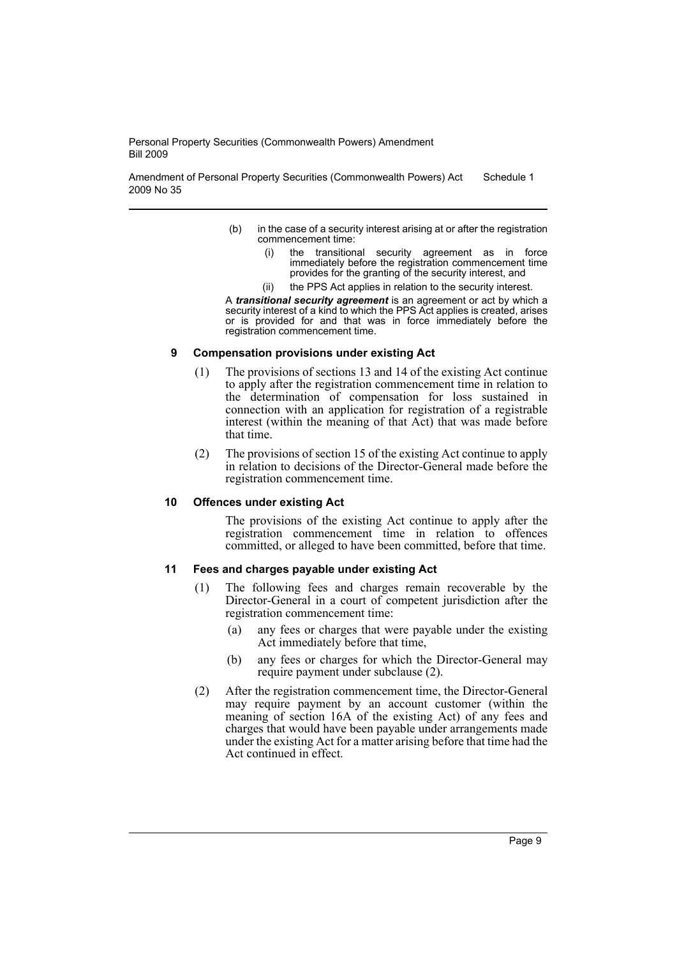Amendment of Personal Property Securities (Commonwealth Powers) Act 2009 No 35 Schedule 1

- (b) in the case of a security interest arising at or after the registration commencement time:
	- (i) the transitional security agreement as in force immediately before the registration commencement time provides for the granting of the security interest, and
	- (ii) the PPS Act applies in relation to the security interest.

A *transitional security agreement* is an agreement or act by which a security interest of a kind to which the PPS Act applies is created, arises or is provided for and that was in force immediately before the registration commencement time.

#### **9 Compensation provisions under existing Act**

- (1) The provisions of sections 13 and 14 of the existing Act continue to apply after the registration commencement time in relation to the determination of compensation for loss sustained in connection with an application for registration of a registrable interest (within the meaning of that Act) that was made before that time.
- (2) The provisions of section 15 of the existing Act continue to apply in relation to decisions of the Director-General made before the registration commencement time.

## **10 Offences under existing Act**

The provisions of the existing Act continue to apply after the registration commencement time in relation to offences committed, or alleged to have been committed, before that time.

## **11 Fees and charges payable under existing Act**

- (1) The following fees and charges remain recoverable by the Director-General in a court of competent jurisdiction after the registration commencement time:
	- (a) any fees or charges that were payable under the existing Act immediately before that time,
	- (b) any fees or charges for which the Director-General may require payment under subclause (2).
- (2) After the registration commencement time, the Director-General may require payment by an account customer (within the meaning of section 16A of the existing Act) of any fees and charges that would have been payable under arrangements made under the existing Act for a matter arising before that time had the Act continued in effect.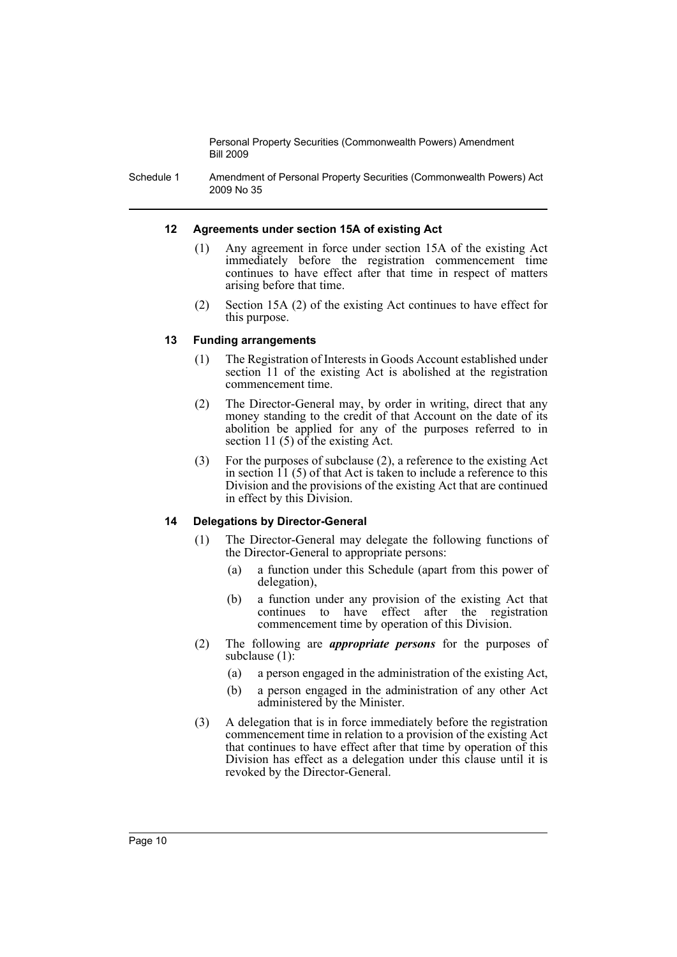Schedule 1 Amendment of Personal Property Securities (Commonwealth Powers) Act 2009 No 35

#### **12 Agreements under section 15A of existing Act**

- (1) Any agreement in force under section 15A of the existing Act immediately before the registration commencement time continues to have effect after that time in respect of matters arising before that time.
- (2) Section 15A (2) of the existing Act continues to have effect for this purpose.

#### **13 Funding arrangements**

- (1) The Registration of Interests in Goods Account established under section 11 of the existing Act is abolished at the registration commencement time.
- (2) The Director-General may, by order in writing, direct that any money standing to the credit of that Account on the date of its abolition be applied for any of the purposes referred to in section 11 $(5)$  of the existing Act.
- (3) For the purposes of subclause (2), a reference to the existing Act in section  $11$  (5) of that Act is taken to include a reference to this Division and the provisions of the existing Act that are continued in effect by this Division.

## **14 Delegations by Director-General**

- (1) The Director-General may delegate the following functions of the Director-General to appropriate persons:
	- (a) a function under this Schedule (apart from this power of delegation),
	- (b) a function under any provision of the existing Act that continues to have effect after the registration commencement time by operation of this Division.
- (2) The following are *appropriate persons* for the purposes of subclause (1):
	- (a) a person engaged in the administration of the existing Act,
	- (b) a person engaged in the administration of any other Act administered by the Minister.
- (3) A delegation that is in force immediately before the registration commencement time in relation to a provision of the existing Act that continues to have effect after that time by operation of this Division has effect as a delegation under this clause until it is revoked by the Director-General.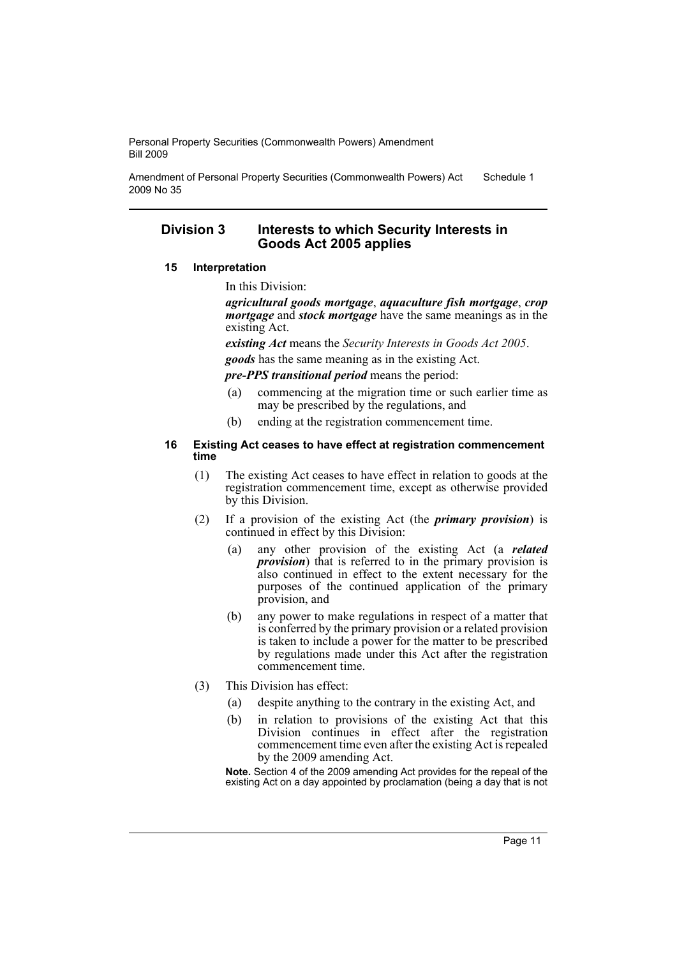Amendment of Personal Property Securities (Commonwealth Powers) Act 2009 No 35 Schedule 1

# **Division 3 Interests to which Security Interests in Goods Act 2005 applies**

#### **15 Interpretation**

In this Division:

*agricultural goods mortgage*, *aquaculture fish mortgage*, *crop mortgage* and *stock mortgage* have the same meanings as in the existing Act.

*existing Act* means the *Security Interests in Goods Act 2005*.

*goods* has the same meaning as in the existing Act.

*pre-PPS transitional period* means the period:

- (a) commencing at the migration time or such earlier time as may be prescribed by the regulations, and
- (b) ending at the registration commencement time.

#### **16 Existing Act ceases to have effect at registration commencement time**

- (1) The existing Act ceases to have effect in relation to goods at the registration commencement time, except as otherwise provided by this Division.
- (2) If a provision of the existing Act (the *primary provision*) is continued in effect by this Division:
	- (a) any other provision of the existing Act (a *related provision*) that is referred to in the primary provision is also continued in effect to the extent necessary for the purposes of the continued application of the primary provision, and
	- (b) any power to make regulations in respect of a matter that is conferred by the primary provision or a related provision is taken to include a power for the matter to be prescribed by regulations made under this Act after the registration commencement time.
- (3) This Division has effect:
	- (a) despite anything to the contrary in the existing Act, and
	- (b) in relation to provisions of the existing Act that this Division continues in effect after the registration commencement time even after the existing Act is repealed by the 2009 amending Act.

**Note.** Section 4 of the 2009 amending Act provides for the repeal of the existing Act on a day appointed by proclamation (being a day that is not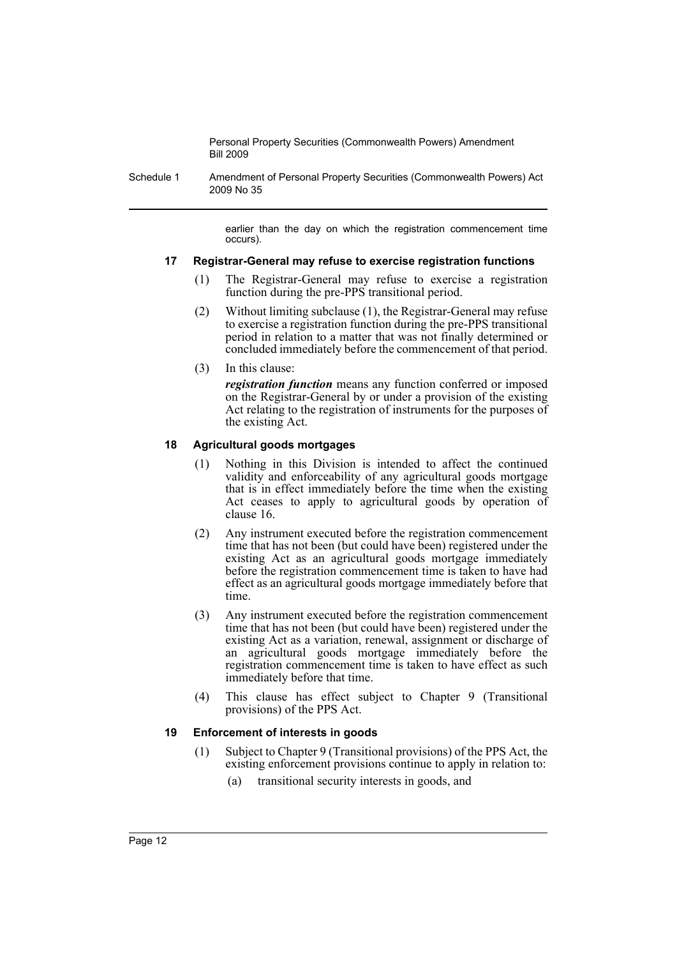Schedule 1 Amendment of Personal Property Securities (Commonwealth Powers) Act 2009 No 35

> earlier than the day on which the registration commencement time occurs).

#### **17 Registrar-General may refuse to exercise registration functions**

- (1) The Registrar-General may refuse to exercise a registration function during the pre-PPS transitional period.
- (2) Without limiting subclause (1), the Registrar-General may refuse to exercise a registration function during the pre-PPS transitional period in relation to a matter that was not finally determined or concluded immediately before the commencement of that period.
- (3) In this clause:

*registration function* means any function conferred or imposed on the Registrar-General by or under a provision of the existing Act relating to the registration of instruments for the purposes of the existing Act.

# **18 Agricultural goods mortgages**

- (1) Nothing in this Division is intended to affect the continued validity and enforceability of any agricultural goods mortgage that is in effect immediately before the time when the existing Act ceases to apply to agricultural goods by operation of clause 16.
- (2) Any instrument executed before the registration commencement time that has not been (but could have been) registered under the existing Act as an agricultural goods mortgage immediately before the registration commencement time is taken to have had effect as an agricultural goods mortgage immediately before that time.
- (3) Any instrument executed before the registration commencement time that has not been (but could have been) registered under the existing Act as a variation, renewal, assignment or discharge of an agricultural goods mortgage immediately before the registration commencement time is taken to have effect as such immediately before that time.
- (4) This clause has effect subject to Chapter 9 (Transitional provisions) of the PPS Act.

## **19 Enforcement of interests in goods**

- (1) Subject to Chapter 9 (Transitional provisions) of the PPS Act, the existing enforcement provisions continue to apply in relation to:
	- (a) transitional security interests in goods, and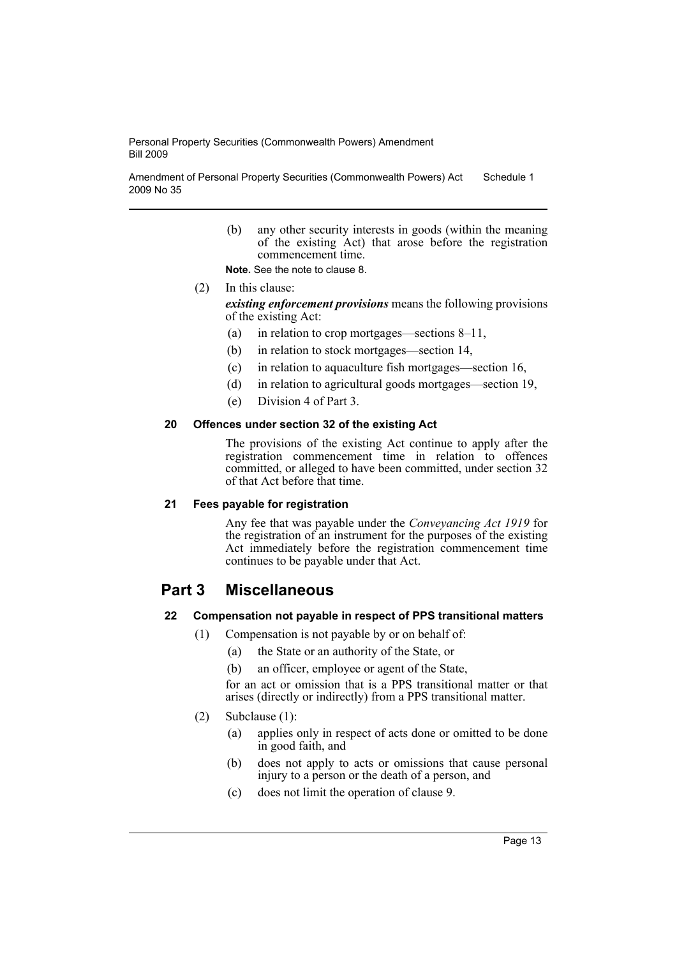Amendment of Personal Property Securities (Commonwealth Powers) Act 2009 No 35 Schedule 1

> (b) any other security interests in goods (within the meaning of the existing Act) that arose before the registration commencement time.

**Note.** See the note to clause 8.

- (2) In this clause: *existing enforcement provisions* means the following provisions of the existing Act:
	- (a) in relation to crop mortgages—sections 8–11,
	- (b) in relation to stock mortgages—section 14,
	- (c) in relation to aquaculture fish mortgages—section 16,
	- (d) in relation to agricultural goods mortgages—section 19,
	- (e) Division 4 of Part 3.

#### **20 Offences under section 32 of the existing Act**

The provisions of the existing Act continue to apply after the registration commencement time in relation to offences committed, or alleged to have been committed, under section 32 of that Act before that time.

#### **21 Fees payable for registration**

Any fee that was payable under the *Conveyancing Act 1919* for the registration of an instrument for the purposes of the existing Act immediately before the registration commencement time continues to be payable under that Act.

# **Part 3 Miscellaneous**

## **22 Compensation not payable in respect of PPS transitional matters**

- (1) Compensation is not payable by or on behalf of:
	- (a) the State or an authority of the State, or
	- (b) an officer, employee or agent of the State,

for an act or omission that is a PPS transitional matter or that arises (directly or indirectly) from a PPS transitional matter.

## (2) Subclause (1):

- (a) applies only in respect of acts done or omitted to be done in good faith, and
- (b) does not apply to acts or omissions that cause personal injury to a person or the death of a person, and
- (c) does not limit the operation of clause 9.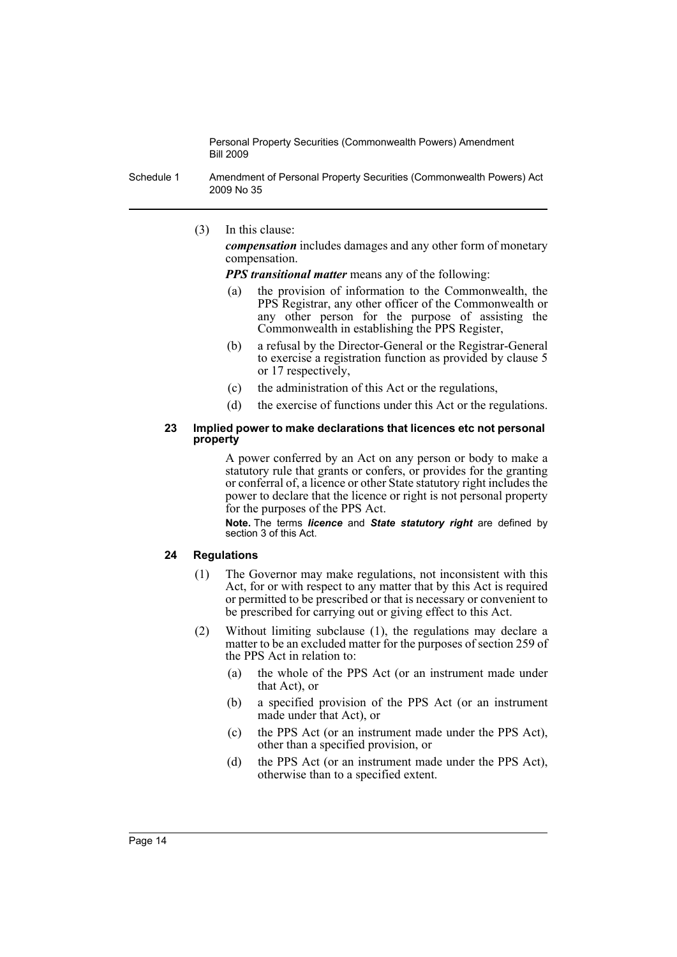Schedule 1 Amendment of Personal Property Securities (Commonwealth Powers) Act 2009 No 35

(3) In this clause:

*compensation* includes damages and any other form of monetary compensation.

*PPS transitional matter* means any of the following:

- (a) the provision of information to the Commonwealth, the PPS Registrar, any other officer of the Commonwealth or any other person for the purpose of assisting the Commonwealth in establishing the PPS Register,
- (b) a refusal by the Director-General or the Registrar-General to exercise a registration function as provided by clause 5 or 17 respectively,
- (c) the administration of this Act or the regulations,
- (d) the exercise of functions under this Act or the regulations.

#### **23 Implied power to make declarations that licences etc not personal property**

A power conferred by an Act on any person or body to make a statutory rule that grants or confers, or provides for the granting or conferral of, a licence or other State statutory right includes the power to declare that the licence or right is not personal property for the purposes of the PPS Act.

**Note.** The terms *licence* and *State statutory right* are defined by section 3 of this Act.

## **24 Regulations**

- (1) The Governor may make regulations, not inconsistent with this Act, for or with respect to any matter that by this Act is required or permitted to be prescribed or that is necessary or convenient to be prescribed for carrying out or giving effect to this Act.
- (2) Without limiting subclause (1), the regulations may declare a matter to be an excluded matter for the purposes of section 259 of the PPS Act in relation to:
	- (a) the whole of the PPS Act (or an instrument made under that Act), or
	- (b) a specified provision of the PPS Act (or an instrument made under that Act), or
	- (c) the PPS Act (or an instrument made under the PPS Act), other than a specified provision, or
	- (d) the PPS Act (or an instrument made under the PPS Act), otherwise than to a specified extent.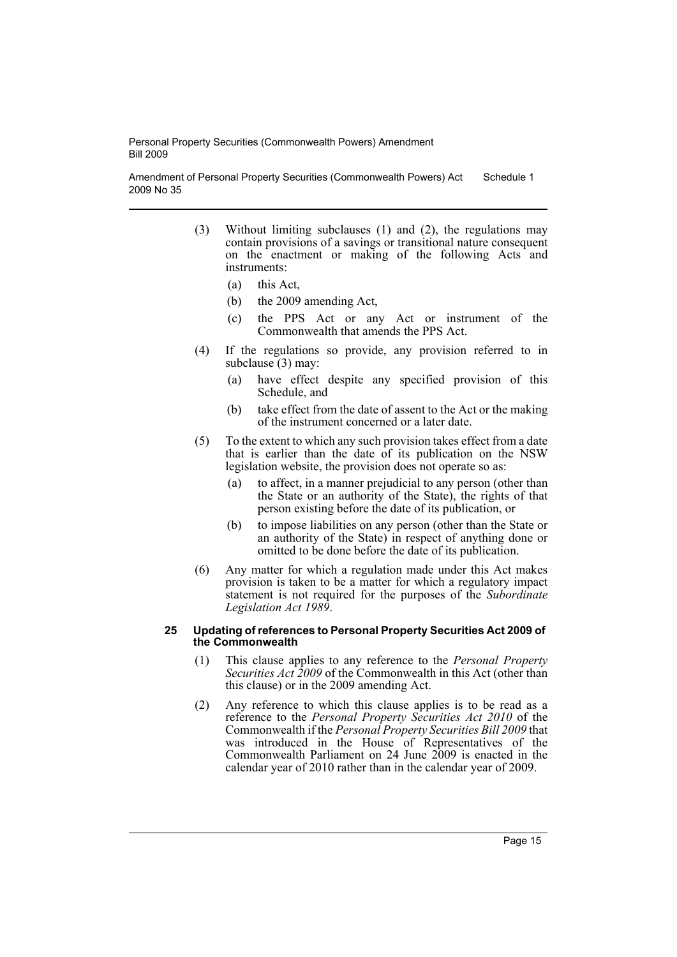Amendment of Personal Property Securities (Commonwealth Powers) Act 2009 No 35 Schedule 1

- (3) Without limiting subclauses (1) and (2), the regulations may contain provisions of a savings or transitional nature consequent on the enactment or making of the following Acts and instruments:
	- (a) this Act,
	- (b) the 2009 amending Act,
	- (c) the PPS Act or any Act or instrument of the Commonwealth that amends the PPS Act.
- (4) If the regulations so provide, any provision referred to in subclause (3) may:
	- (a) have effect despite any specified provision of this Schedule, and
	- (b) take effect from the date of assent to the Act or the making of the instrument concerned or a later date.
- (5) To the extent to which any such provision takes effect from a date that is earlier than the date of its publication on the NSW legislation website, the provision does not operate so as:
	- (a) to affect, in a manner prejudicial to any person (other than the State or an authority of the State), the rights of that person existing before the date of its publication, or
	- (b) to impose liabilities on any person (other than the State or an authority of the State) in respect of anything done or omitted to be done before the date of its publication.
- (6) Any matter for which a regulation made under this Act makes provision is taken to be a matter for which a regulatory impact statement is not required for the purposes of the *Subordinate Legislation Act 1989*.

#### **25 Updating of references to Personal Property Securities Act 2009 of the Commonwealth**

- (1) This clause applies to any reference to the *Personal Property Securities Act 2009* of the Commonwealth in this Act (other than this clause) or in the 2009 amending Act.
- (2) Any reference to which this clause applies is to be read as a reference to the *Personal Property Securities Act 2010* of the Commonwealth if the *Personal Property Securities Bill 2009* that was introduced in the House of Representatives of the Commonwealth Parliament on 24 June 2009 is enacted in the calendar year of 2010 rather than in the calendar year of 2009.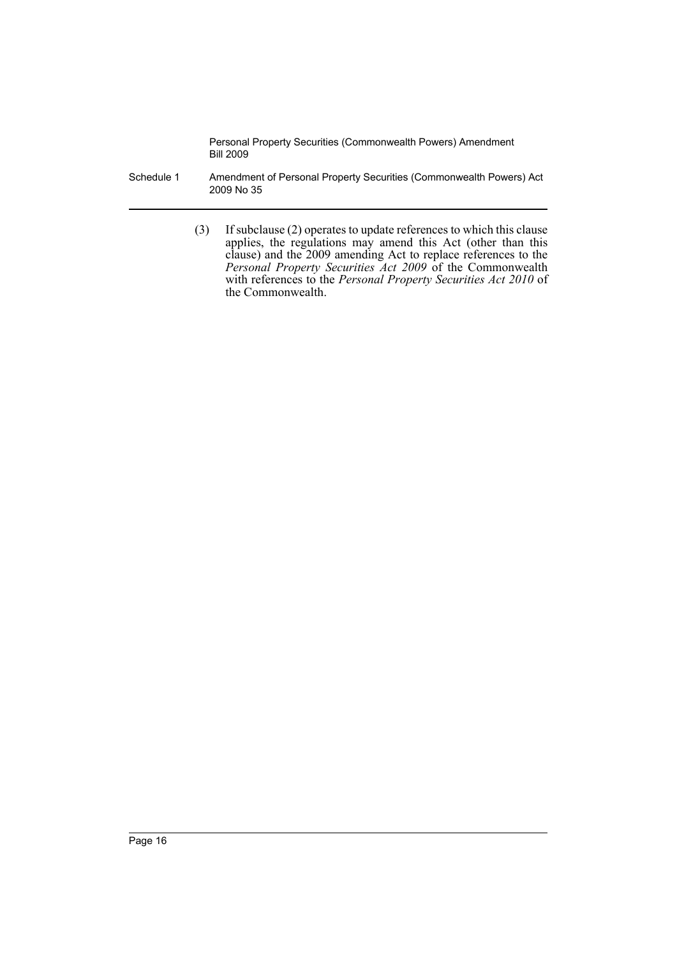- Schedule 1 Amendment of Personal Property Securities (Commonwealth Powers) Act 2009 No 35
	- (3) If subclause (2) operates to update references to which this clause applies, the regulations may amend this Act (other than this clause) and the 2009 amending Act to replace references to the *Personal Property Securities Act 2009* of the Commonwealth with references to the *Personal Property Securities Act 2010* of the Commonwealth.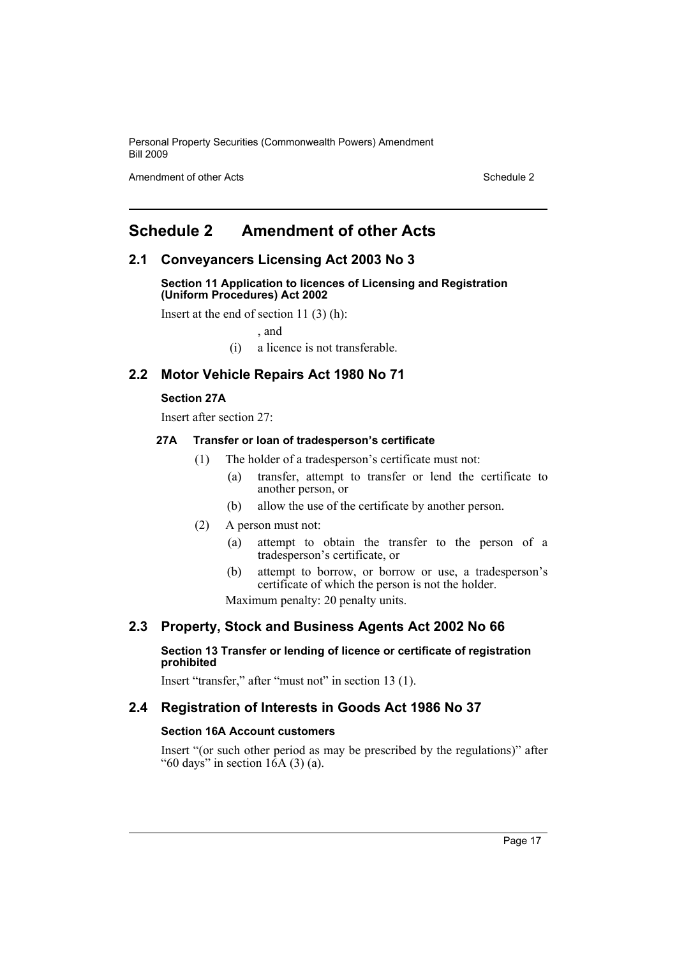Amendment of other Acts **Schedule 2** and the 2 and the 2 and 2 and 2 and 2 and 2 and 2 and 2 and 2 and 2 and 2 and 2 and 2 and 2 and 2 and 2 and 2 and 2 and 2 and 2 and 2 and 2 and 2 and 2 and 2 and 2 and 2 and 2 and 2 and

# <span id="page-18-0"></span>**Schedule 2 Amendment of other Acts**

# **2.1 Conveyancers Licensing Act 2003 No 3**

**Section 11 Application to licences of Licensing and Registration (Uniform Procedures) Act 2002**

Insert at the end of section 11 (3) (h):

, and

(i) a licence is not transferable.

# **2.2 Motor Vehicle Repairs Act 1980 No 71**

#### **Section 27A**

Insert after section 27:

#### **27A Transfer or loan of tradesperson's certificate**

- (1) The holder of a tradesperson's certificate must not:
	- (a) transfer, attempt to transfer or lend the certificate to another person, or
	- (b) allow the use of the certificate by another person.
- (2) A person must not:
	- (a) attempt to obtain the transfer to the person of a tradesperson's certificate, or
	- (b) attempt to borrow, or borrow or use, a tradesperson's certificate of which the person is not the holder.

Maximum penalty: 20 penalty units.

## **2.3 Property, Stock and Business Agents Act 2002 No 66**

#### **Section 13 Transfer or lending of licence or certificate of registration prohibited**

Insert "transfer," after "must not" in section 13 (1).

# **2.4 Registration of Interests in Goods Act 1986 No 37**

# **Section 16A Account customers**

Insert "(or such other period as may be prescribed by the regulations)" after "60 days" in section  $16A(3)(a)$ .